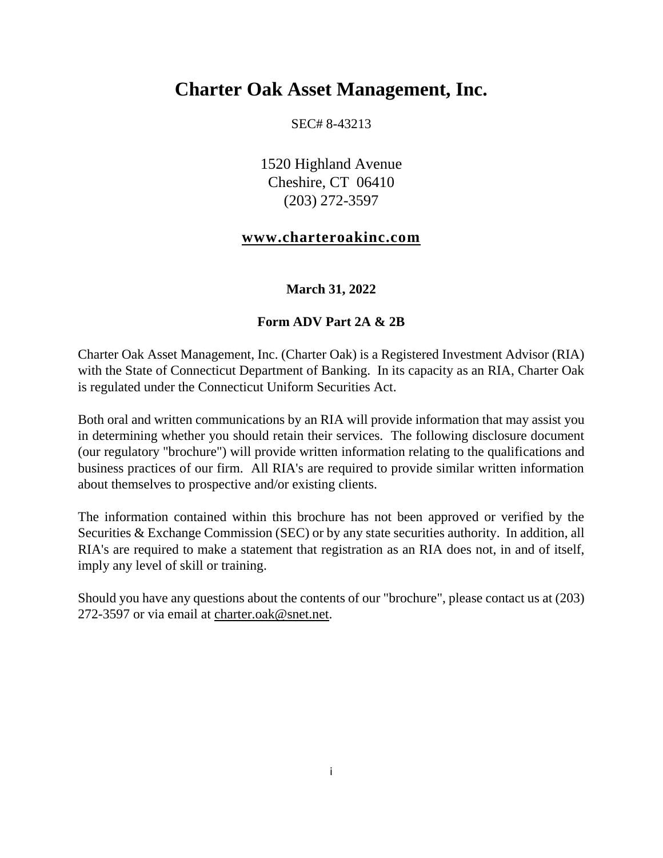# **Charter Oak Asset Management, Inc.**

SEC# 8-43213

1520 Highland Avenue Cheshire, CT 06410 (203) 272-3597

#### **[www.charteroakinc.com](http://www.charteroakinc.com/)**

#### **March 31, 2022**

#### **Form ADV Part 2A & 2B**

Charter Oak Asset Management, Inc. (Charter Oak) is a Registered Investment Advisor (RIA) with the State of Connecticut Department of Banking. In its capacity as an RIA, Charter Oak is regulated under the Connecticut Uniform Securities Act.

Both oral and written communications by an RIA will provide information that may assist you in determining whether you should retain their services. The following disclosure document (our regulatory "brochure") will provide written information relating to the qualifications and business practices of our firm. All RIA's are required to provide similar written information about themselves to prospective and/or existing clients.

The information contained within this brochure has not been approved or verified by the Securities & Exchange Commission (SEC) or by any state securities authority. In addition, all RIA's are required to make a statement that registration as an RIA does not, in and of itself, imply any level of skill or training.

Should you have any questions about the contents of our "brochure", please contact us at (203) 272-3597 or via email at [charter.oak@snet.net.](mailto:charter.oak@snet.net)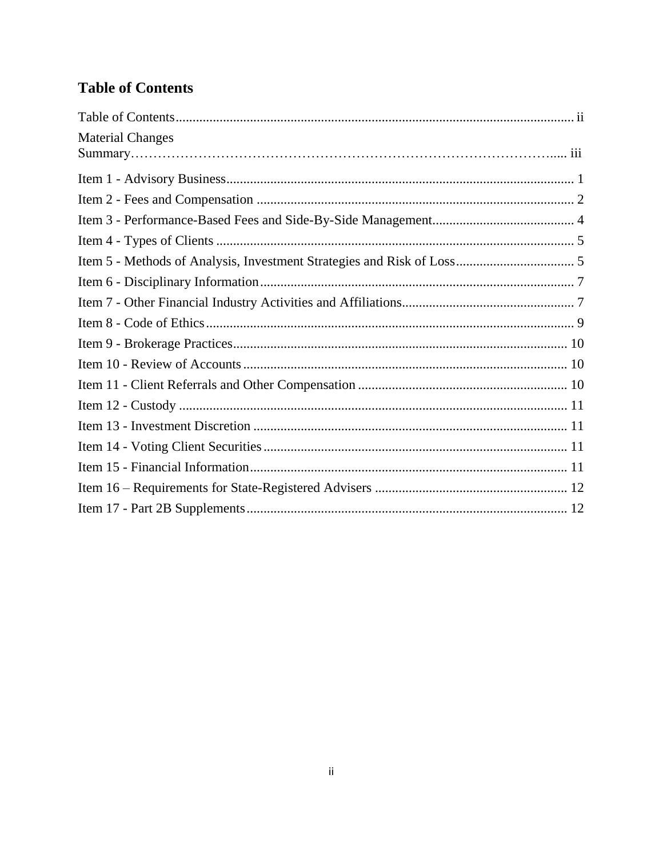# <span id="page-1-0"></span>**Table of Contents**

| <b>Material Changes</b> |  |
|-------------------------|--|
|                         |  |
|                         |  |
|                         |  |
|                         |  |
|                         |  |
|                         |  |
|                         |  |
|                         |  |
|                         |  |
|                         |  |
|                         |  |
|                         |  |
|                         |  |
|                         |  |
|                         |  |
|                         |  |
|                         |  |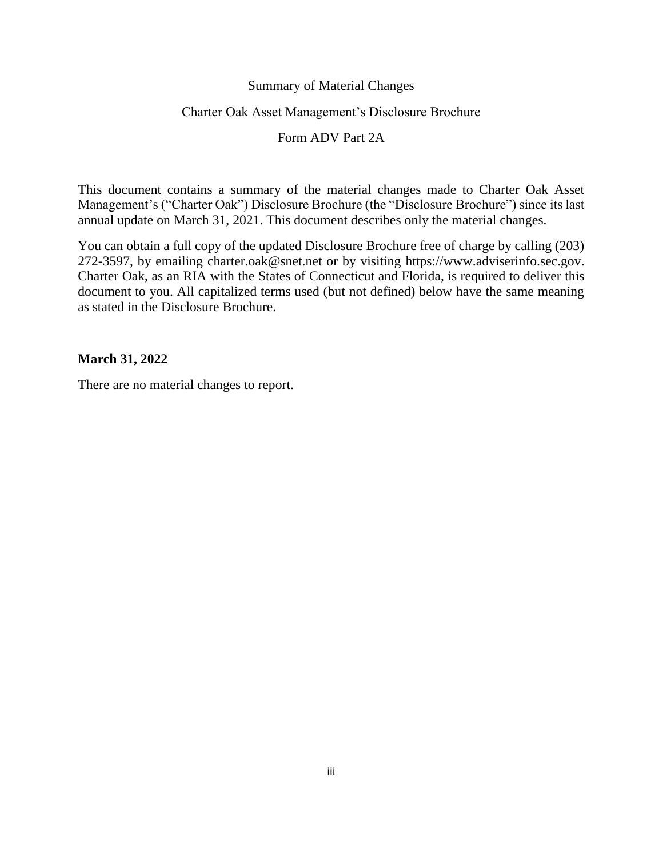#### Summary of Material Changes

#### Charter Oak Asset Management's Disclosure Brochure

#### Form ADV Part 2A

This document contains a summary of the material changes made to Charter Oak Asset Management's ("Charter Oak") Disclosure Brochure (the "Disclosure Brochure") since its last annual update on March 31, 2021. This document describes only the material changes.

You can obtain a full copy of the updated Disclosure Brochure free of charge by calling (203) 272-3597, by emailing charter.oak@snet.net or by visiting [https://www.adviserinfo.sec.gov.](https://www.adviserinfo.sec.gov/) Charter Oak, as an RIA with the States of Connecticut and Florida, is required to deliver this document to you. All capitalized terms used (but not defined) below have the same meaning as stated in the Disclosure Brochure.

#### **March 31, 2022**

There are no material changes to report.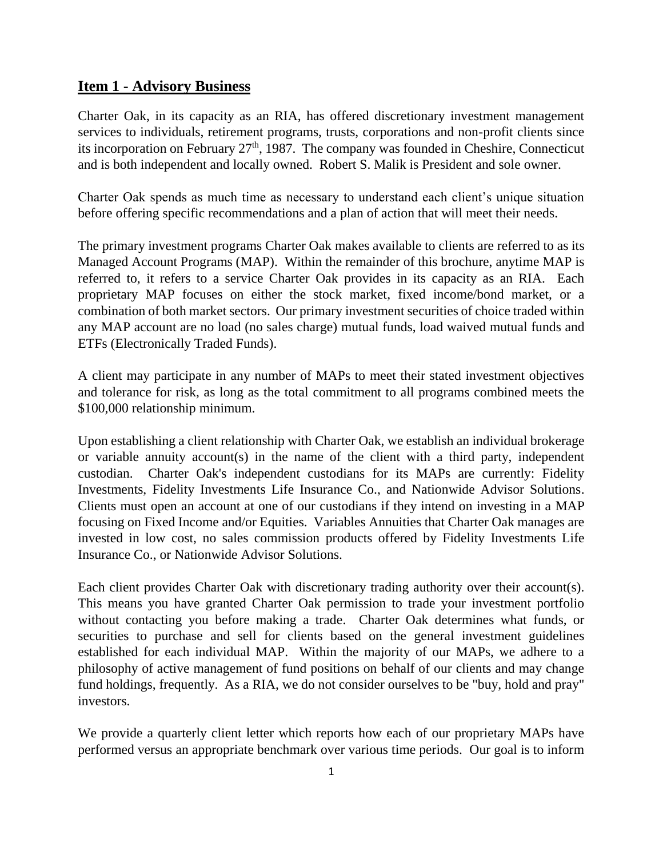#### <span id="page-3-0"></span>**Item 1 - Advisory Business**

Charter Oak, in its capacity as an RIA, has offered discretionary investment management services to individuals, retirement programs, trusts, corporations and non-profit clients since its incorporation on February  $27<sup>th</sup>$ , 1987. The company was founded in Cheshire, Connecticut and is both independent and locally owned. Robert S. Malik is President and sole owner.

Charter Oak spends as much time as necessary to understand each client's unique situation before offering specific recommendations and a plan of action that will meet their needs.

The primary investment programs Charter Oak makes available to clients are referred to as its Managed Account Programs (MAP). Within the remainder of this brochure, anytime MAP is referred to, it refers to a service Charter Oak provides in its capacity as an RIA. Each proprietary MAP focuses on either the stock market, fixed income/bond market, or a combination of both market sectors. Our primary investment securities of choice traded within any MAP account are no load (no sales charge) mutual funds, load waived mutual funds and ETFs (Electronically Traded Funds).

A client may participate in any number of MAPs to meet their stated investment objectives and tolerance for risk, as long as the total commitment to all programs combined meets the \$100,000 relationship minimum.

Upon establishing a client relationship with Charter Oak, we establish an individual brokerage or variable annuity account(s) in the name of the client with a third party, independent custodian. Charter Oak's independent custodians for its MAPs are currently: Fidelity Investments, Fidelity Investments Life Insurance Co., and Nationwide Advisor Solutions. Clients must open an account at one of our custodians if they intend on investing in a MAP focusing on Fixed Income and/or Equities. Variables Annuities that Charter Oak manages are invested in low cost, no sales commission products offered by Fidelity Investments Life Insurance Co., or Nationwide Advisor Solutions.

Each client provides Charter Oak with discretionary trading authority over their account(s). This means you have granted Charter Oak permission to trade your investment portfolio without contacting you before making a trade. Charter Oak determines what funds, or securities to purchase and sell for clients based on the general investment guidelines established for each individual MAP. Within the majority of our MAPs, we adhere to a philosophy of active management of fund positions on behalf of our clients and may change fund holdings, frequently. As a RIA, we do not consider ourselves to be "buy, hold and pray" investors.

We provide a quarterly client letter which reports how each of our proprietary MAPs have performed versus an appropriate benchmark over various time periods. Our goal is to inform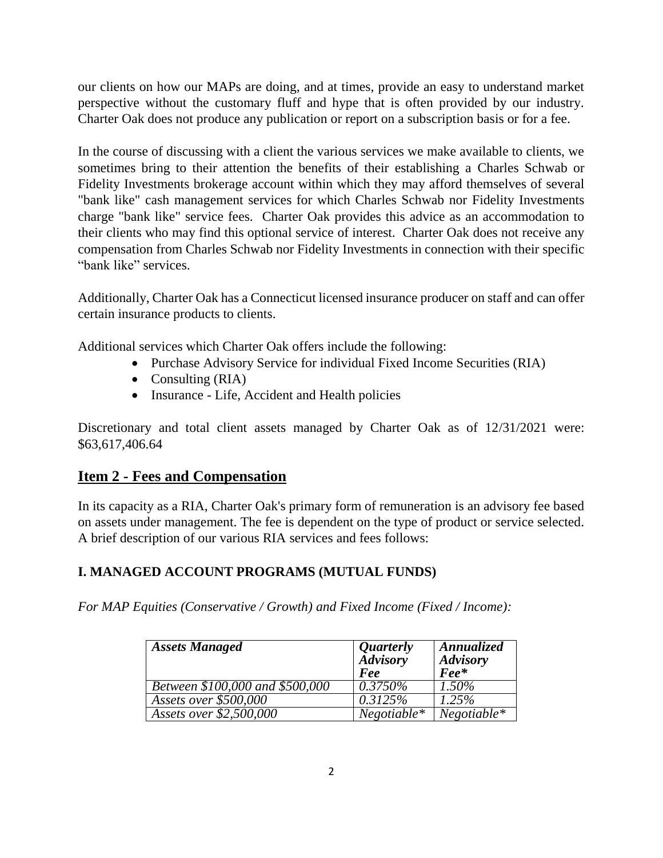our clients on how our MAPs are doing, and at times, provide an easy to understand market perspective without the customary fluff and hype that is often provided by our industry. Charter Oak does not produce any publication or report on a subscription basis or for a fee.

In the course of discussing with a client the various services we make available to clients, we sometimes bring to their attention the benefits of their establishing a Charles Schwab or Fidelity Investments brokerage account within which they may afford themselves of several "bank like" cash management services for which Charles Schwab nor Fidelity Investments charge "bank like" service fees. Charter Oak provides this advice as an accommodation to their clients who may find this optional service of interest. Charter Oak does not receive any compensation from Charles Schwab nor Fidelity Investments in connection with their specific "bank like" services.

Additionally, Charter Oak has a Connecticut licensed insurance producer on staff and can offer certain insurance products to clients.

Additional services which Charter Oak offers include the following:

- Purchase Advisory Service for individual Fixed Income Securities (RIA)
- Consulting  $(RIA)$
- Insurance Life, Accident and Health policies

Discretionary and total client assets managed by Charter Oak as of 12/31/2021 were: \$63,617,406.64

# <span id="page-4-0"></span>**Item 2 - Fees and Compensation**

In its capacity as a RIA, Charter Oak's primary form of remuneration is an advisory fee based on assets under management. The fee is dependent on the type of product or service selected. A brief description of our various RIA services and fees follows:

# **I. MANAGED ACCOUNT PROGRAMS (MUTUAL FUNDS)**

*For MAP Equities (Conservative / Growth) and Fixed Income (Fixed / Income):*

| <b>Assets Managed</b>           | <i>Quarterly</i><br><b>Advisory</b><br>Fee | Annualized<br><b>Advisory</b><br>$\textit{Fee}^*$ |
|---------------------------------|--------------------------------------------|---------------------------------------------------|
| Between \$100,000 and \$500,000 | $0.3750\%$                                 | $1.50\%$                                          |
| Assets over \$500,000           | 0.3125%                                    | 1.25%                                             |
| Assets over \$2,500,000         | $Negotiable*$                              | $Negotiable*$                                     |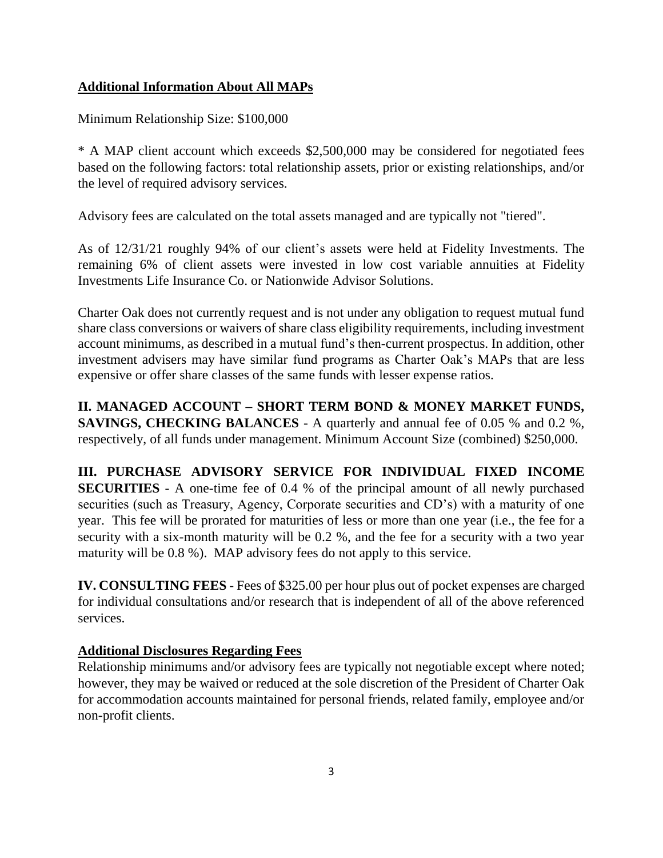### **Additional Information About All MAPs**

Minimum Relationship Size: \$100,000

\* A MAP client account which exceeds \$2,500,000 may be considered for negotiated fees based on the following factors: total relationship assets, prior or existing relationships, and/or the level of required advisory services.

Advisory fees are calculated on the total assets managed and are typically not "tiered".

As of 12/31/21 roughly 94% of our client's assets were held at Fidelity Investments. The remaining 6% of client assets were invested in low cost variable annuities at Fidelity Investments Life Insurance Co. or Nationwide Advisor Solutions.

Charter Oak does not currently request and is not under any obligation to request mutual fund share class conversions or waivers of share class eligibility requirements, including investment account minimums, as described in a mutual fund's then-current prospectus. In addition, other investment advisers may have similar fund programs as Charter Oak's MAPs that are less expensive or offer share classes of the same funds with lesser expense ratios.

**II. MANAGED ACCOUNT – SHORT TERM BOND & MONEY MARKET FUNDS, SAVINGS, CHECKING BALANCES** - A quarterly and annual fee of 0.05 % and 0.2 %, respectively, of all funds under management. Minimum Account Size (combined) \$250,000.

**III. PURCHASE ADVISORY SERVICE FOR INDIVIDUAL FIXED INCOME SECURITIES** - A one-time fee of 0.4 % of the principal amount of all newly purchased securities (such as Treasury, Agency, Corporate securities and CD's) with a maturity of one year. This fee will be prorated for maturities of less or more than one year (i.e., the fee for a security with a six-month maturity will be 0.2 %, and the fee for a security with a two year maturity will be 0.8 %). MAP advisory fees do not apply to this service.

**IV. CONSULTING FEES** - Fees of \$325.00 per hour plus out of pocket expenses are charged for individual consultations and/or research that is independent of all of the above referenced services.

### **Additional Disclosures Regarding Fees**

Relationship minimums and/or advisory fees are typically not negotiable except where noted; however, they may be waived or reduced at the sole discretion of the President of Charter Oak for accommodation accounts maintained for personal friends, related family, employee and/or non-profit clients.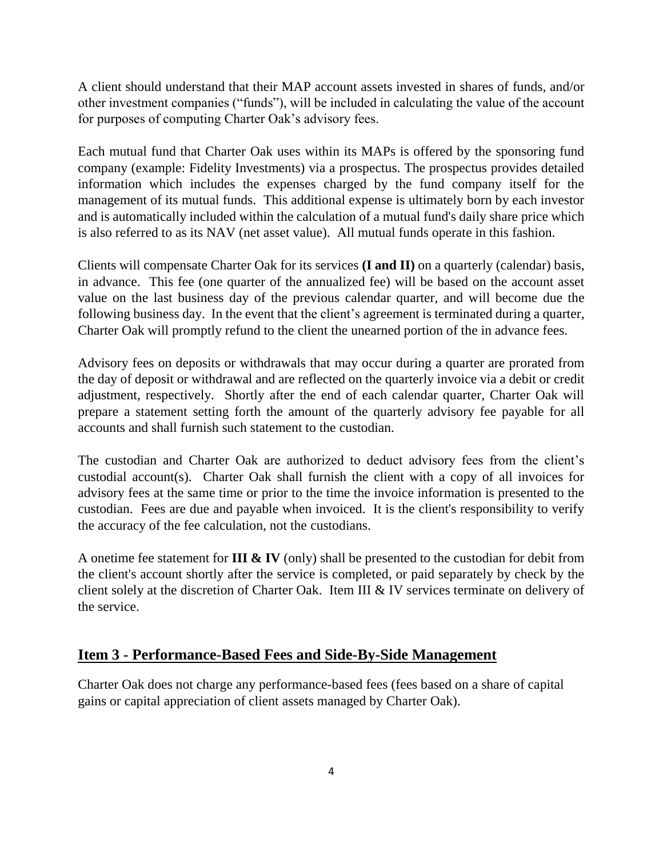A client should understand that their MAP account assets invested in shares of funds, and/or other investment companies ("funds"), will be included in calculating the value of the account for purposes of computing Charter Oak's advisory fees.

Each mutual fund that Charter Oak uses within its MAPs is offered by the sponsoring fund company (example: Fidelity Investments) via a prospectus. The prospectus provides detailed information which includes the expenses charged by the fund company itself for the management of its mutual funds. This additional expense is ultimately born by each investor and is automatically included within the calculation of a mutual fund's daily share price which is also referred to as its NAV (net asset value). All mutual funds operate in this fashion.

Clients will compensate Charter Oak for its services **(I and II)** on a quarterly (calendar) basis, in advance. This fee (one quarter of the annualized fee) will be based on the account asset value on the last business day of the previous calendar quarter, and will become due the following business day. In the event that the client's agreement is terminated during a quarter, Charter Oak will promptly refund to the client the unearned portion of the in advance fees.

Advisory fees on deposits or withdrawals that may occur during a quarter are prorated from the day of deposit or withdrawal and are reflected on the quarterly invoice via a debit or credit adjustment, respectively. Shortly after the end of each calendar quarter, Charter Oak will prepare a statement setting forth the amount of the quarterly advisory fee payable for all accounts and shall furnish such statement to the custodian.

The custodian and Charter Oak are authorized to deduct advisory fees from the client's custodial account(s). Charter Oak shall furnish the client with a copy of all invoices for advisory fees at the same time or prior to the time the invoice information is presented to the custodian. Fees are due and payable when invoiced. It is the client's responsibility to verify the accuracy of the fee calculation, not the custodians.

A onetime fee statement for **III & IV** (only) shall be presented to the custodian for debit from the client's account shortly after the service is completed, or paid separately by check by the client solely at the discretion of Charter Oak. Item III & IV services terminate on delivery of the service.

### <span id="page-6-0"></span>**Item 3 - Performance-Based Fees and Side-By-Side Management**

Charter Oak does not charge any performance-based fees (fees based on a share of capital gains or capital appreciation of client assets managed by Charter Oak).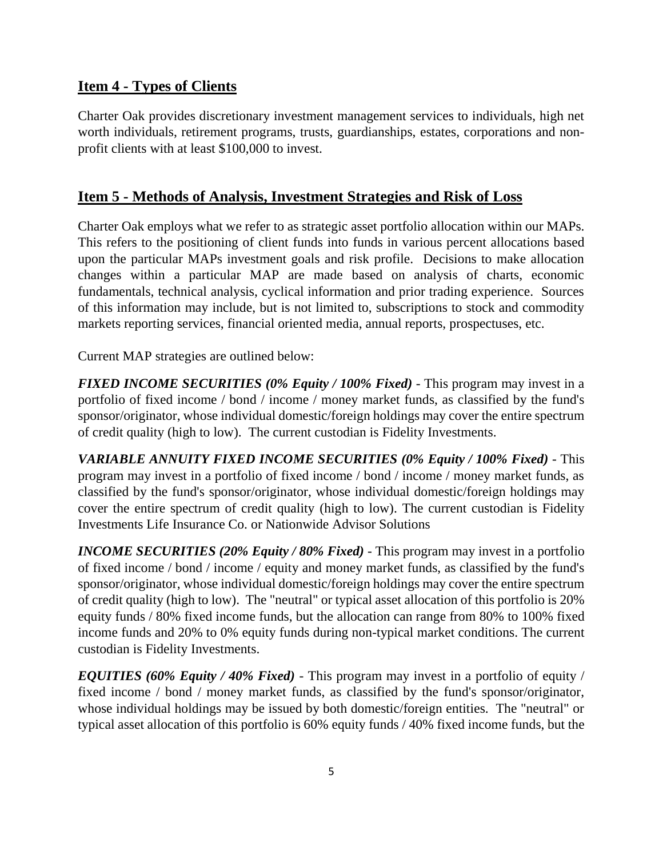## <span id="page-7-0"></span>**Item 4 - Types of Clients**

Charter Oak provides discretionary investment management services to individuals, high net worth individuals, retirement programs, trusts, guardianships, estates, corporations and nonprofit clients with at least \$100,000 to invest.

## <span id="page-7-1"></span>**Item 5 - Methods of Analysis, Investment Strategies and Risk of Loss**

Charter Oak employs what we refer to as strategic asset portfolio allocation within our MAPs. This refers to the positioning of client funds into funds in various percent allocations based upon the particular MAPs investment goals and risk profile. Decisions to make allocation changes within a particular MAP are made based on analysis of charts, economic fundamentals, technical analysis, cyclical information and prior trading experience. Sources of this information may include, but is not limited to, subscriptions to stock and commodity markets reporting services, financial oriented media, annual reports, prospectuses, etc.

Current MAP strategies are outlined below:

*FIXED INCOME SECURITIES (0% Equity / 100% Fixed)* - This program may invest in a portfolio of fixed income / bond / income / money market funds, as classified by the fund's sponsor/originator, whose individual domestic/foreign holdings may cover the entire spectrum of credit quality (high to low). The current custodian is Fidelity Investments.

*VARIABLE ANNUITY FIXED INCOME SECURITIES (0% Equity / 100% Fixed)* - This program may invest in a portfolio of fixed income / bond / income / money market funds, as classified by the fund's sponsor/originator, whose individual domestic/foreign holdings may cover the entire spectrum of credit quality (high to low). The current custodian is Fidelity Investments Life Insurance Co. or Nationwide Advisor Solutions

*INCOME SECURITIES (20% Equity / 80% Fixed)* - This program may invest in a portfolio of fixed income / bond / income / equity and money market funds, as classified by the fund's sponsor/originator, whose individual domestic/foreign holdings may cover the entire spectrum of credit quality (high to low). The "neutral" or typical asset allocation of this portfolio is 20% equity funds / 80% fixed income funds, but the allocation can range from 80% to 100% fixed income funds and 20% to 0% equity funds during non-typical market conditions. The current custodian is Fidelity Investments.

*EQUITIES (60% Equity / 40% Fixed)* - This program may invest in a portfolio of equity / fixed income / bond / money market funds, as classified by the fund's sponsor/originator, whose individual holdings may be issued by both domestic/foreign entities. The "neutral" or typical asset allocation of this portfolio is 60% equity funds / 40% fixed income funds, but the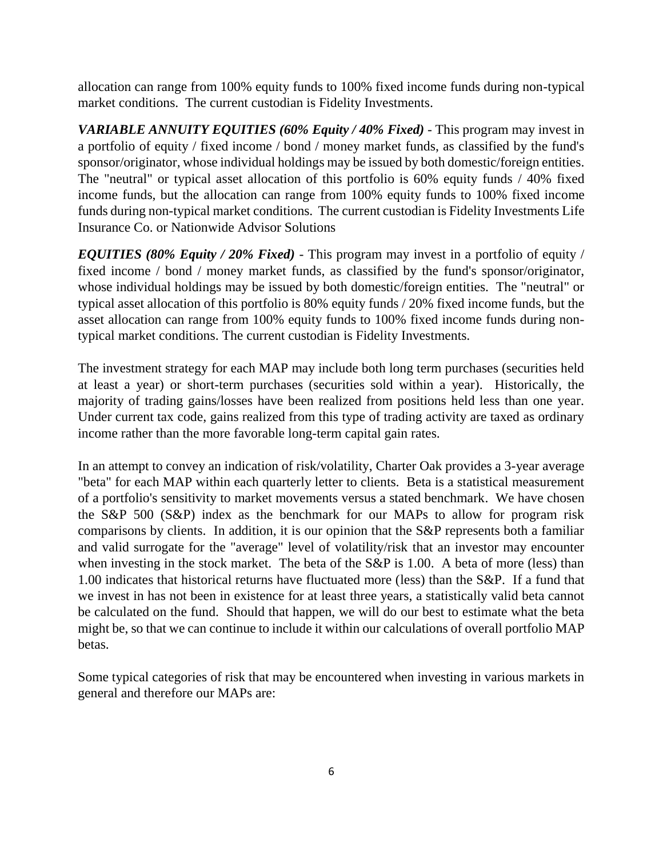allocation can range from 100% equity funds to 100% fixed income funds during non-typical market conditions. The current custodian is Fidelity Investments.

*VARIABLE ANNUITY EQUITIES (60% Equity / 40% Fixed)* - This program may invest in a portfolio of equity / fixed income / bond / money market funds, as classified by the fund's sponsor/originator, whose individual holdings may be issued by both domestic/foreign entities. The "neutral" or typical asset allocation of this portfolio is 60% equity funds / 40% fixed income funds, but the allocation can range from 100% equity funds to 100% fixed income funds during non-typical market conditions. The current custodian is Fidelity Investments Life Insurance Co. or Nationwide Advisor Solutions

*EQUITIES (80% Equity / 20% Fixed)* - This program may invest in a portfolio of equity / fixed income / bond / money market funds, as classified by the fund's sponsor/originator, whose individual holdings may be issued by both domestic/foreign entities. The "neutral" or typical asset allocation of this portfolio is 80% equity funds / 20% fixed income funds, but the asset allocation can range from 100% equity funds to 100% fixed income funds during nontypical market conditions. The current custodian is Fidelity Investments.

The investment strategy for each MAP may include both long term purchases (securities held at least a year) or short-term purchases (securities sold within a year). Historically, the majority of trading gains/losses have been realized from positions held less than one year. Under current tax code, gains realized from this type of trading activity are taxed as ordinary income rather than the more favorable long-term capital gain rates.

In an attempt to convey an indication of risk/volatility, Charter Oak provides a 3-year average "beta" for each MAP within each quarterly letter to clients. Beta is a statistical measurement of a portfolio's sensitivity to market movements versus a stated benchmark. We have chosen the S&P 500 (S&P) index as the benchmark for our MAPs to allow for program risk comparisons by clients. In addition, it is our opinion that the S&P represents both a familiar and valid surrogate for the "average" level of volatility/risk that an investor may encounter when investing in the stock market. The beta of the S&P is 1.00. A beta of more (less) than 1.00 indicates that historical returns have fluctuated more (less) than the S&P. If a fund that we invest in has not been in existence for at least three years, a statistically valid beta cannot be calculated on the fund. Should that happen, we will do our best to estimate what the beta might be, so that we can continue to include it within our calculations of overall portfolio MAP betas.

Some typical categories of risk that may be encountered when investing in various markets in general and therefore our MAPs are: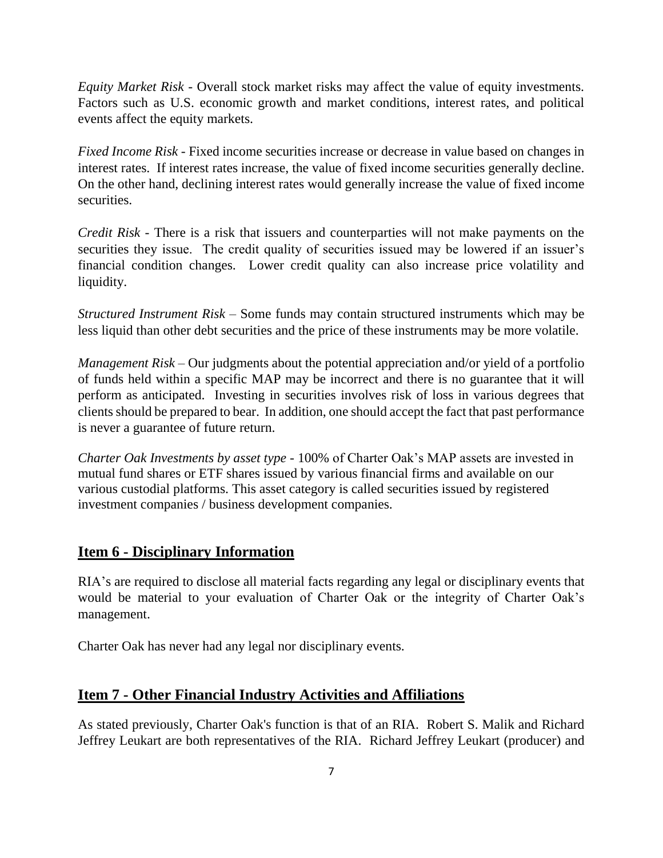*Equity Market Risk* - Overall stock market risks may affect the value of equity investments. Factors such as U.S. economic growth and market conditions, interest rates, and political events affect the equity markets.

*Fixed Income Risk* - Fixed income securities increase or decrease in value based on changes in interest rates. If interest rates increase, the value of fixed income securities generally decline. On the other hand, declining interest rates would generally increase the value of fixed income securities.

*Credit Risk* - There is a risk that issuers and counterparties will not make payments on the securities they issue. The credit quality of securities issued may be lowered if an issuer's financial condition changes. Lower credit quality can also increase price volatility and liquidity.

*Structured Instrument Risk* – Some funds may contain structured instruments which may be less liquid than other debt securities and the price of these instruments may be more volatile.

*Management Risk –* Our judgments about the potential appreciation and/or yield of a portfolio of funds held within a specific MAP may be incorrect and there is no guarantee that it will perform as anticipated. Investing in securities involves risk of loss in various degrees that clients should be prepared to bear. In addition, one should accept the fact that past performance is never a guarantee of future return.

*Charter Oak Investments by asset type -* 100% of Charter Oak's MAP assets are invested in mutual fund shares or ETF shares issued by various financial firms and available on our various custodial platforms. This asset category is called securities issued by registered investment companies / business development companies.

### <span id="page-9-0"></span>**Item 6 - Disciplinary Information**

RIA's are required to disclose all material facts regarding any legal or disciplinary events that would be material to your evaluation of Charter Oak or the integrity of Charter Oak's management.

Charter Oak has never had any legal nor disciplinary events.

# <span id="page-9-1"></span>**Item 7 - Other Financial Industry Activities and Affiliations**

As stated previously, Charter Oak's function is that of an RIA. Robert S. Malik and Richard Jeffrey Leukart are both representatives of the RIA. Richard Jeffrey Leukart (producer) and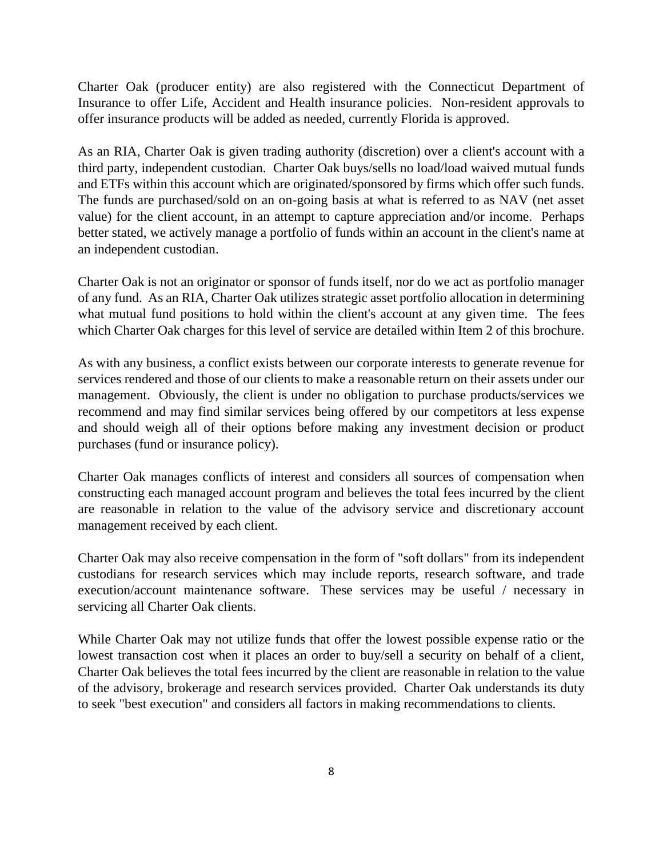Charter Oak (producer entity) are also registered with the Connecticut Department of Insurance to offer Life, Accident and Health insurance policies. Non-resident approvals to offer insurance products will be added as needed, currently Florida is approved.

As an RIA, Charter Oak is given trading authority (discretion) over a client's account with a third party, independent custodian. Charter Oak buys/sells no load/load waived mutual funds and ETFs within this account which are originated/sponsored by firms which offer such funds. The funds are purchased/sold on an on-going basis at what is referred to as NAV (net asset value) for the client account, in an attempt to capture appreciation and/or income. Perhaps better stated, we actively manage a portfolio of funds within an account in the client's name at an independent custodian.

Charter Oak is not an originator or sponsor of funds itself, nor do we act as portfolio manager of any fund. As an RIA, Charter Oak utilizes strategic asset portfolio allocation in determining what mutual fund positions to hold within the client's account at any given time. The fees which Charter Oak charges for this level of service are detailed within Item 2 of this brochure.

As with any business, a conflict exists between our corporate interests to generate revenue for services rendered and those of our clients to make a reasonable return on their assets under our management. Obviously, the client is under no obligation to purchase products/services we recommend and may find similar services being offered by our competitors at less expense and should weigh all of their options before making any investment decision or product purchases (fund or insurance policy).

Charter Oak manages conflicts of interest and considers all sources of compensation when constructing each managed account program and believes the total fees incurred by the client are reasonable in relation to the value of the advisory service and discretionary account management received by each client.

Charter Oak may also receive compensation in the form of "soft dollars" from its independent custodians for research services which may include reports, research software, and trade execution/account maintenance software. These services may be useful / necessary in servicing all Charter Oak clients.

While Charter Oak may not utilize funds that offer the lowest possible expense ratio or the lowest transaction cost when it places an order to buy/sell a security on behalf of a client, Charter Oak believes the total fees incurred by the client are reasonable in relation to the value of the advisory, brokerage and research services provided. Charter Oak understands its duty to seek "best execution" and considers all factors in making recommendations to clients.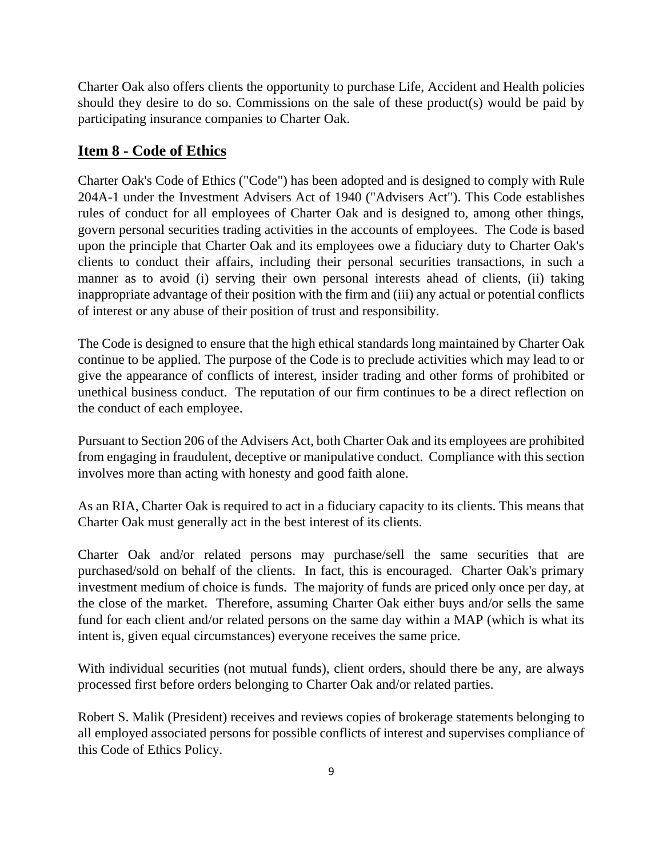Charter Oak also offers clients the opportunity to purchase Life, Accident and Health policies should they desire to do so. Commissions on the sale of these product(s) would be paid by participating insurance companies to Charter Oak.

## <span id="page-11-0"></span>**Item 8 - Code of Ethics**

Charter Oak's Code of Ethics ("Code") has been adopted and is designed to comply with Rule 204A-1 under the Investment Advisers Act of 1940 ("Advisers Act"). This Code establishes rules of conduct for all employees of Charter Oak and is designed to, among other things, govern personal securities trading activities in the accounts of employees. The Code is based upon the principle that Charter Oak and its employees owe a fiduciary duty to Charter Oak's clients to conduct their affairs, including their personal securities transactions, in such a manner as to avoid (i) serving their own personal interests ahead of clients, (ii) taking inappropriate advantage of their position with the firm and (iii) any actual or potential conflicts of interest or any abuse of their position of trust and responsibility.

The Code is designed to ensure that the high ethical standards long maintained by Charter Oak continue to be applied. The purpose of the Code is to preclude activities which may lead to or give the appearance of conflicts of interest, insider trading and other forms of prohibited or unethical business conduct. The reputation of our firm continues to be a direct reflection on the conduct of each employee.

Pursuant to Section 206 of the Advisers Act, both Charter Oak and its employees are prohibited from engaging in fraudulent, deceptive or manipulative conduct. Compliance with this section involves more than acting with honesty and good faith alone.

As an RIA, Charter Oak is required to act in a fiduciary capacity to its clients. This means that Charter Oak must generally act in the best interest of its clients.

Charter Oak and/or related persons may purchase/sell the same securities that are purchased/sold on behalf of the clients. In fact, this is encouraged. Charter Oak's primary investment medium of choice is funds. The majority of funds are priced only once per day, at the close of the market. Therefore, assuming Charter Oak either buys and/or sells the same fund for each client and/or related persons on the same day within a MAP (which is what its intent is, given equal circumstances) everyone receives the same price.

With individual securities (not mutual funds), client orders, should there be any, are always processed first before orders belonging to Charter Oak and/or related parties.

Robert S. Malik (President) receives and reviews copies of brokerage statements belonging to all employed associated persons for possible conflicts of interest and supervises compliance of this Code of Ethics Policy.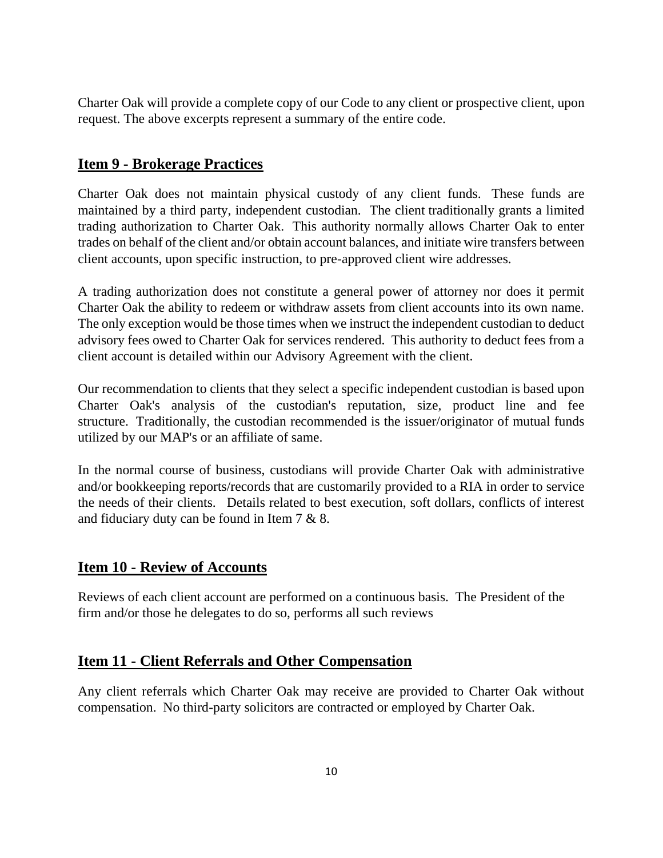Charter Oak will provide a complete copy of our Code to any client or prospective client, upon request. The above excerpts represent a summary of the entire code.

## <span id="page-12-0"></span>**Item 9 - Brokerage Practices**

Charter Oak does not maintain physical custody of any client funds. These funds are maintained by a third party, independent custodian. The client traditionally grants a limited trading authorization to Charter Oak. This authority normally allows Charter Oak to enter trades on behalf of the client and/or obtain account balances, and initiate wire transfers between client accounts, upon specific instruction, to pre-approved client wire addresses.

A trading authorization does not constitute a general power of attorney nor does it permit Charter Oak the ability to redeem or withdraw assets from client accounts into its own name. The only exception would be those times when we instruct the independent custodian to deduct advisory fees owed to Charter Oak for services rendered. This authority to deduct fees from a client account is detailed within our Advisory Agreement with the client.

Our recommendation to clients that they select a specific independent custodian is based upon Charter Oak's analysis of the custodian's reputation, size, product line and fee structure. Traditionally, the custodian recommended is the issuer/originator of mutual funds utilized by our MAP's or an affiliate of same.

In the normal course of business, custodians will provide Charter Oak with administrative and/or bookkeeping reports/records that are customarily provided to a RIA in order to service the needs of their clients. Details related to best execution, soft dollars, conflicts of interest and fiduciary duty can be found in Item 7 & 8.

# <span id="page-12-1"></span>**Item 10 - Review of Accounts**

Reviews of each client account are performed on a continuous basis. The President of the firm and/or those he delegates to do so, performs all such reviews

### <span id="page-12-2"></span>**Item 11 - Client Referrals and Other Compensation**

Any client referrals which Charter Oak may receive are provided to Charter Oak without compensation. No third-party solicitors are contracted or employed by Charter Oak.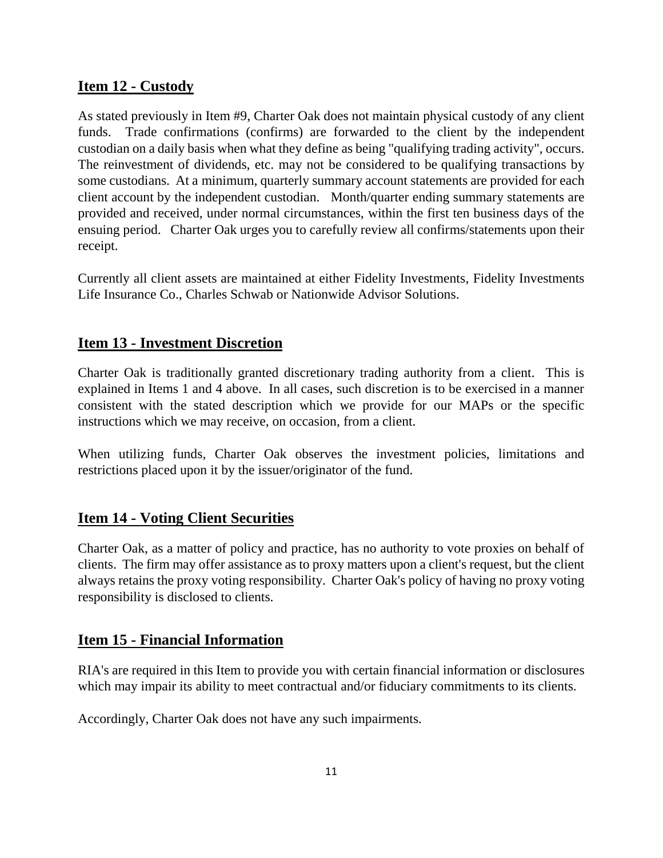### <span id="page-13-0"></span>**Item 12 - Custody**

As stated previously in Item #9, Charter Oak does not maintain physical custody of any client funds. Trade confirmations (confirms) are forwarded to the client by the independent custodian on a daily basis when what they define as being "qualifying trading activity", occurs. The reinvestment of dividends, etc. may not be considered to be qualifying transactions by some custodians. At a minimum, quarterly summary account statements are provided for each client account by the independent custodian. Month/quarter ending summary statements are provided and received, under normal circumstances, within the first ten business days of the ensuing period. Charter Oak urges you to carefully review all confirms/statements upon their receipt.

Currently all client assets are maintained at either Fidelity Investments, Fidelity Investments Life Insurance Co., Charles Schwab or Nationwide Advisor Solutions.

# <span id="page-13-1"></span>**Item 13 - Investment Discretion**

Charter Oak is traditionally granted discretionary trading authority from a client. This is explained in Items 1 and 4 above. In all cases, such discretion is to be exercised in a manner consistent with the stated description which we provide for our MAPs or the specific instructions which we may receive, on occasion, from a client.

When utilizing funds, Charter Oak observes the investment policies, limitations and restrictions placed upon it by the issuer/originator of the fund.

### <span id="page-13-2"></span>**Item 14 - Voting Client Securities**

Charter Oak, as a matter of policy and practice, has no authority to vote proxies on behalf of clients. The firm may offer assistance as to proxy matters upon a client's request, but the client always retains the proxy voting responsibility. Charter Oak's policy of having no proxy voting responsibility is disclosed to clients.

### <span id="page-13-3"></span>**Item 15 - Financial Information**

RIA's are required in this Item to provide you with certain financial information or disclosures which may impair its ability to meet contractual and/or fiduciary commitments to its clients.

Accordingly, Charter Oak does not have any such impairments.